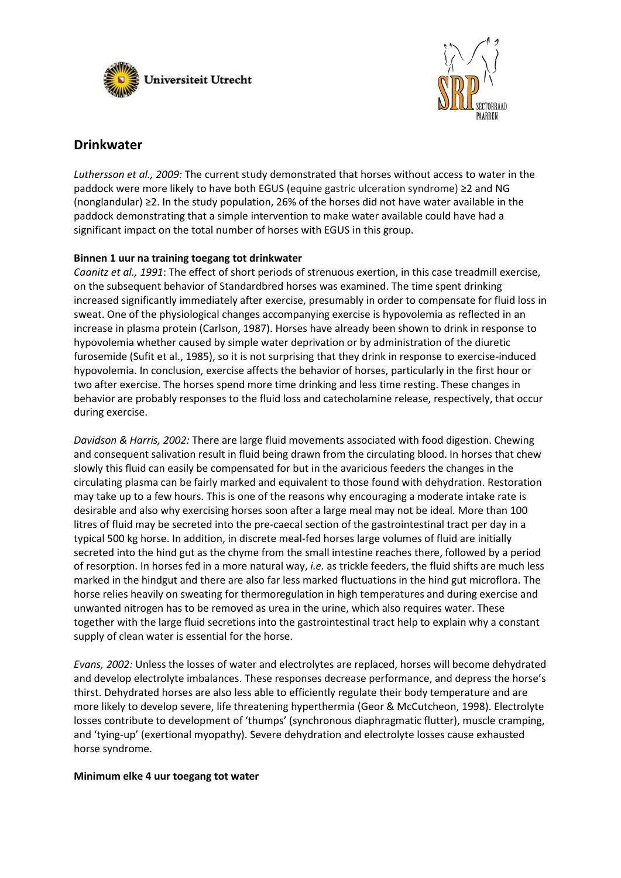



# **Drinkwater**

*Luthersson et al., 2009:* The current study demonstrated that horses without access to water in the paddock were more likely to have both EGUS (equine gastric ulceration syndrome) ≥2 and NG (nonglandular) ≥2. In the study population, 26% of the horses did not have water available in the paddock demonstrating that a simple intervention to make water available could have had a significant impact on the total number of horses with EGUS in this group.

## **Binnen 1 uur na training toegang tot drinkwater**

*Caanitz et al., 1991*: The effect of short periods of strenuous exertion, in this case treadmill exercise, on the subsequent behavior of Standardbred horses was examined. The time spent drinking increased significantly immediately after exercise, presumably in order to compensate for fluid loss in sweat. One of the physiological changes accompanying exercise is hypovolemia as reflected in an increase in plasma protein (Carlson, 1987). Horses have already been shown to drink in response to hypovolemia whether caused by simple water deprivation or by administration of the diuretic furosemide (Sufit et al., 1985), so it is not surprising that they drink in response to exercise-induced hypovolemia. In conclusion, exercise affects the behavior of horses, particularly in the first hour or two after exercise. The horses spend more time drinking and less time resting. These changes in behavior are probably responses to the fluid loss and catecholamine release, respectively, that occur during exercise.

*Davidson & Harris, 2002:* There are large fluid movements associated with food digestion. Chewing and consequent salivation result in fluid being drawn from the circulating blood. In horses that chew slowly this fluid can easily be compensated for but in the avaricious feeders the changes in the circulating plasma can be fairly marked and equivalent to those found with dehydration. Restoration may take up to a few hours. This is one of the reasons why encouraging a moderate intake rate is desirable and also why exercising horses soon after a large meal may not be ideal. More than 100 litres of fluid may be secreted into the pre-caecal section of the gastrointestinal tract per day in a typical 500 kg horse. In addition, in discrete meal-fed horses large volumes of fluid are initially secreted into the hind gut as the chyme from the small intestine reaches there, followed by a period of resorption. In horses fed in a more natural way, *i.e.* as trickle feeders, the fluid shifts are much less marked in the hindgut and there are also far less marked fluctuations in the hind gut microflora. The horse relies heavily on sweating for thermoregulation in high temperatures and during exercise and unwanted nitrogen has to be removed as urea in the urine, which also requires water. These together with the large fluid secretions into the gastrointestinal tract help to explain why a constant supply of clean water is essential for the horse.

*Evans, 2002:* Unless the losses of water and electrolytes are replaced, horses will become dehydrated and develop electrolyte imbalances. These responses decrease performance, and depress the horse's thirst. Dehydrated horses are also less able to efficiently regulate their body temperature and are more likely to develop severe, life threatening hyperthermia (Geor & McCutcheon, 1998). Electrolyte losses contribute to development of 'thumps' (synchronous diaphragmatic flutter), muscle cramping, and 'tying-up' (exertional myopathy). Severe dehydration and electrolyte losses cause exhausted horse syndrome.

#### **Minimum elke 4 uur toegang tot water**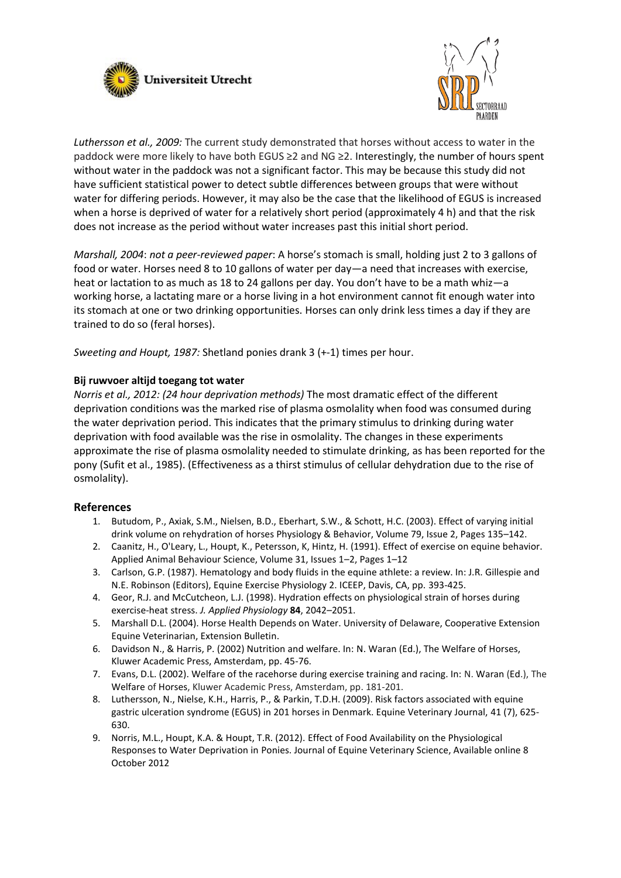



*Luthersson et al., 2009:* The current study demonstrated that horses without access to water in the paddock were more likely to have both EGUS ≥2 and NG ≥2. Interestingly, the number of hours spent without water in the paddock was not a significant factor. This may be because this study did not have sufficient statistical power to detect subtle differences between groups that were without water for differing periods. However, it may also be the case that the likelihood of EGUS is increased when a horse is deprived of water for a relatively short period (approximately 4 h) and that the risk does not increase as the period without water increases past this initial short period.

*Marshall, 2004*: *not a peer-reviewed paper*: A horse's stomach is small, holding just 2 to 3 gallons of food or water. Horses need 8 to 10 gallons of water per day—a need that increases with exercise, heat or lactation to as much as 18 to 24 gallons per day. You don't have to be a math whiz—a working horse, a lactating mare or a horse living in a hot environment cannot fit enough water into its stomach at one or two drinking opportunities. Horses can only drink less times a day if they are trained to do so (feral horses).

*Sweeting and Houpt, 1987:* Shetland ponies drank 3 (+-1) times per hour.

### **Bij ruwvoer altijd toegang tot water**

*Norris et al., 2012: (24 hour deprivation methods)* The most dramatic effect of the different deprivation conditions was the marked rise of plasma osmolality when food was consumed during the water deprivation period. This indicates that the primary stimulus to drinking during water deprivation with food available was the rise in osmolality. The changes in these experiments approximate the rise of plasma osmolality needed to stimulate drinking, as has been reported for the pony (Sufit et al., 1985). (Effectiveness as a thirst stimulus of cellular dehydration due to the rise of osmolality).

#### **References**

- 1. Butudom, P., Axiak, S.M., Nielsen, B.D., Eberhart, S.W., & Schott, H.C. (2003). Effect of varying initial drink volume on rehydration of horses Physiology & Behavior, Volume 79, Issue 2, Pages 135–142.
- 2. Caanitz, H., O'Leary, L., Houpt, K., Petersson, K, Hintz, H. (1991). Effect of exercise on equine behavior. Applied Animal Behaviour Science, Volume 31, Issues 1–2, Pages 1–12
- 3. Carlson, G.P. (1987). Hematology and body fluids in the equine athlete: a review. In: J.R. Gillespie and N.E. Robinson (Editors), Equine Exercise Physiology 2. ICEEP, Davis, CA, pp. 393-425.
- 4. Geor, R.J. and McCutcheon, L.J. (1998). Hydration effects on physiological strain of horses during exercise-heat stress. *J. Applied Physiology* **84**, 2042–2051.
- 5. Marshall D.L. (2004). Horse Health Depends on Water. University of Delaware, Cooperative Extension Equine Veterinarian, Extension Bulletin.
- 6. Davidson N., & Harris, P. (2002) Nutrition and welfare. In: N. Waran (Ed.), The Welfare of Horses, Kluwer Academic Press, Amsterdam, pp. 45-76.
- 7. Evans, D.L. (2002). Welfare of the racehorse during exercise training and racing. In: N. Waran (Ed.), The Welfare of Horses, Kluwer Academic Press, Amsterdam, pp. 181-201.
- 8. Luthersson, N., Nielse, K.H., Harris, P., & Parkin, T.D.H. (2009). Risk factors associated with equine gastric ulceration syndrome (EGUS) in 201 horses in Denmark. Equine Veterinary Journal, 41 (7), 625- 630.
- 9. Norris, M.L., Houpt, K.A. & Houpt, T.R. (2012). Effect of Food Availability on the Physiological Responses to Water Deprivation in Ponies. Journal of Equine Veterinary Science, Available online 8 October 2012